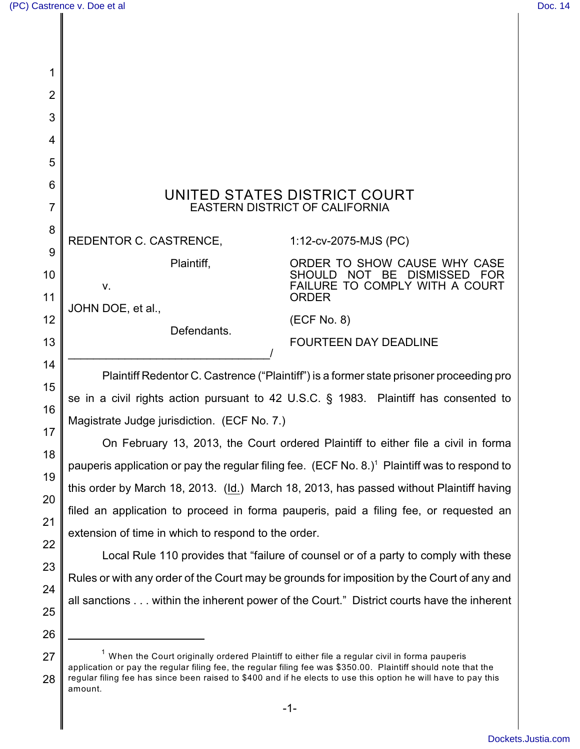| 1        |                                                                                                                                                                                                                                                                                                                                                          |                                                                             |  |
|----------|----------------------------------------------------------------------------------------------------------------------------------------------------------------------------------------------------------------------------------------------------------------------------------------------------------------------------------------------------------|-----------------------------------------------------------------------------|--|
| 2        |                                                                                                                                                                                                                                                                                                                                                          |                                                                             |  |
| 3        |                                                                                                                                                                                                                                                                                                                                                          |                                                                             |  |
| 4        |                                                                                                                                                                                                                                                                                                                                                          |                                                                             |  |
| 5        |                                                                                                                                                                                                                                                                                                                                                          |                                                                             |  |
| 6        | UNITED STATES DISTRICT COURT                                                                                                                                                                                                                                                                                                                             |                                                                             |  |
| 7        | <b>EASTERN DISTRICT OF CALIFORNIA</b>                                                                                                                                                                                                                                                                                                                    |                                                                             |  |
| 8        | REDENTOR C. CASTRENCE,                                                                                                                                                                                                                                                                                                                                   | 1:12-cv-2075-MJS (PC)                                                       |  |
| 9<br>10  | Plaintiff,                                                                                                                                                                                                                                                                                                                                               | ORDER TO SHOW CAUSE WHY CASE<br>NOT BE<br><b>DISMISSED</b><br><b>SHOULD</b> |  |
| 11       | ٧.                                                                                                                                                                                                                                                                                                                                                       | FAILURE TO COMPLY WITH A COURT<br><b>ORDER</b>                              |  |
| 12       | JOHN DOE, et al.,                                                                                                                                                                                                                                                                                                                                        | (ECF No. 8)                                                                 |  |
| 13       | Defendants.                                                                                                                                                                                                                                                                                                                                              | <b>FOURTEEN DAY DEADLINE</b>                                                |  |
| 14       |                                                                                                                                                                                                                                                                                                                                                          |                                                                             |  |
| 15       | Plaintiff Redentor C. Castrence ("Plaintiff") is a former state prisoner proceeding pro                                                                                                                                                                                                                                                                  |                                                                             |  |
| 16       | se in a civil rights action pursuant to 42 U.S.C. § 1983. Plaintiff has consented to                                                                                                                                                                                                                                                                     |                                                                             |  |
| 17       | Magistrate Judge jurisdiction. (ECF No. 7.)<br>On February 13, 2013, the Court ordered Plaintiff to either file a civil in forma                                                                                                                                                                                                                         |                                                                             |  |
| 18       |                                                                                                                                                                                                                                                                                                                                                          |                                                                             |  |
| 19       | pauperis application or pay the regular filing fee. (ECF No. 8.) <sup>1</sup> Plaintiff was to respond to                                                                                                                                                                                                                                                |                                                                             |  |
| 20       | this order by March 18, 2013. (Id.) March 18, 2013, has passed without Plaintiff having                                                                                                                                                                                                                                                                  |                                                                             |  |
| 21       | filed an application to proceed in forma pauperis, paid a filing fee, or requested an                                                                                                                                                                                                                                                                    |                                                                             |  |
| 22       | extension of time in which to respond to the order.<br>Local Rule 110 provides that "failure of counsel or of a party to comply with these                                                                                                                                                                                                               |                                                                             |  |
| 23       | Rules or with any order of the Court may be grounds for imposition by the Court of any and                                                                                                                                                                                                                                                               |                                                                             |  |
| 24       | all sanctions within the inherent power of the Court." District courts have the inherent                                                                                                                                                                                                                                                                 |                                                                             |  |
| 25       |                                                                                                                                                                                                                                                                                                                                                          |                                                                             |  |
| 26       |                                                                                                                                                                                                                                                                                                                                                          |                                                                             |  |
| 27<br>28 | <sup>1</sup> When the Court originally ordered Plaintiff to either file a regular civil in forma pauperis<br>application or pay the regular filing fee, the regular filing fee was \$350.00. Plaintiff should note that the<br>regular filing fee has since been raised to \$400 and if he elects to use this option he will have to pay this<br>amount. |                                                                             |  |